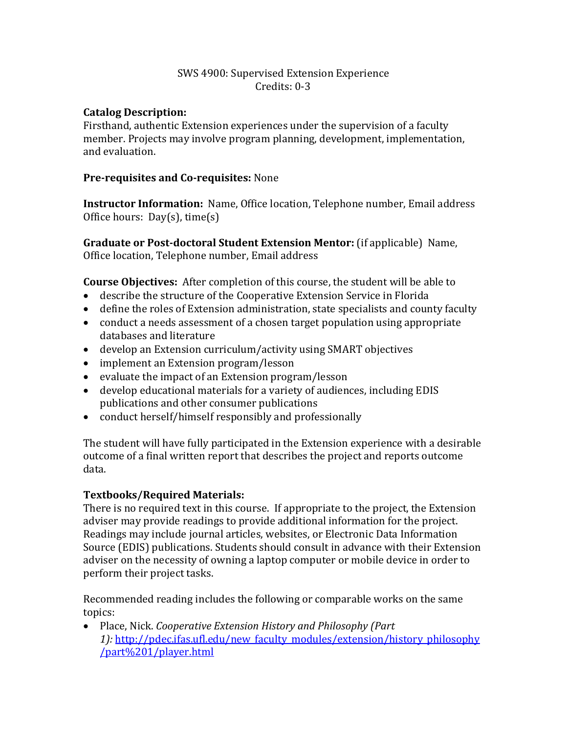# SWS 4900: Supervised Extension Experience Credits: 0-3

# **Catalog Description:**

Firsthand, authentic Extension experiences under the supervision of a faculty member. Projects may involve program planning, development, implementation, and evaluation.

# **Pre-requisites and Co-requisites:** None

**Instructor Information:** Name, Office location, Telephone number, Email address Office hours: Day(s), time(s)

**Graduate or Post-doctoral Student Extension Mentor:** (if applicable) Name, Office location, Telephone number, Email address

**Course Objectives:** After completion of this course, the student will be able to

- describe the structure of the Cooperative Extension Service in Florida
- define the roles of Extension administration, state specialists and county faculty
- conduct a needs assessment of a chosen target population using appropriate databases and literature
- develop an Extension curriculum/activity using SMART objectives
- implement an Extension program/lesson
- evaluate the impact of an Extension program/lesson
- develop educational materials for a variety of audiences, including EDIS publications and other consumer publications
- conduct herself/himself responsibly and professionally

The student will have fully participated in the Extension experience with a desirable outcome of a final written report that describes the project and reports outcome data.

## **Textbooks/Required Materials:**

There is no required text in this course. If appropriate to the project, the Extension adviser may provide readings to provide additional information for the project. Readings may include journal articles, websites, or Electronic Data Information Source (EDIS) publications. Students should consult in advance with their Extension adviser on the necessity of owning a laptop computer or mobile device in order to perform their project tasks.

Recommended reading includes the following or comparable works on the same topics:

• Place, Nick. *Cooperative Extension History and Philosophy (Part*  1): [http://pdec.ifas.ufl.edu/new\\_faculty\\_modules/extension/history\\_philosophy](http://pdec.ifas.ufl.edu/new_faculty_modules/extension/history_philosophy/part%201/player.html) [/part%201/player.html](http://pdec.ifas.ufl.edu/new_faculty_modules/extension/history_philosophy/part%201/player.html)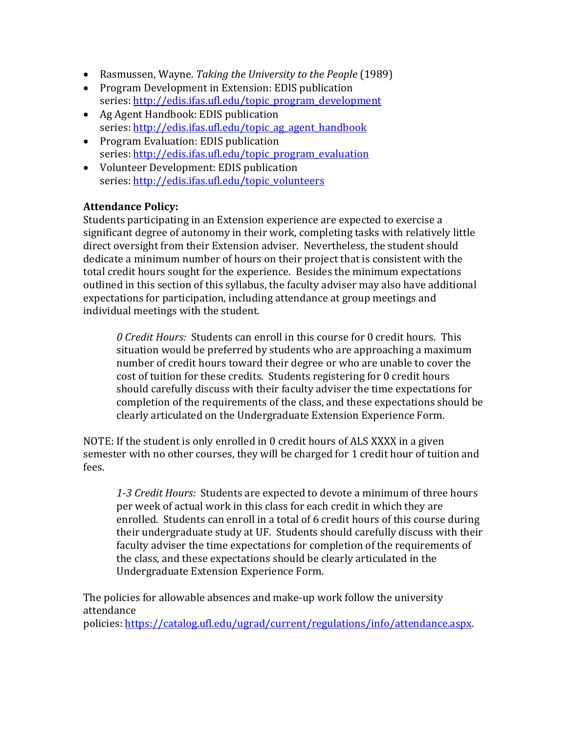- Rasmussen, Wayne. *Taking the University to the People* (1989)
- Program Development in Extension: EDIS publication series: [http://edis.ifas.ufl.edu/topic\\_program\\_development](http://edis.ifas.ufl.edu/topic_program_development)
- Ag Agent Handbook: EDIS publication series: [http://edis.ifas.ufl.edu/topic\\_ag\\_agent\\_handbook](http://edis.ifas.ufl.edu/topic_ag_agent_handbook)
- Program Evaluation: EDIS publication series: [http://edis.ifas.ufl.edu/topic\\_program\\_evaluation](http://edis.ifas.ufl.edu/topic_program_evaluation)
- Volunteer Development: EDIS publication series: [http://edis.ifas.ufl.edu/topic\\_volunteers](http://edis.ifas.ufl.edu/topic_volunteers)

# **Attendance Policy:**

Students participating in an Extension experience are expected to exercise a significant degree of autonomy in their work, completing tasks with relatively little direct oversight from their Extension adviser. Nevertheless, the student should dedicate a minimum number of hours on their project that is consistent with the total credit hours sought for the experience. Besides the minimum expectations outlined in this section of this syllabus, the faculty adviser may also have additional expectations for participation, including attendance at group meetings and individual meetings with the student.

*0 Credit Hours:* Students can enroll in this course for 0 credit hours. This situation would be preferred by students who are approaching a maximum number of credit hours toward their degree or who are unable to cover the cost of tuition for these credits. Students registering for 0 credit hours should carefully discuss with their faculty adviser the time expectations for completion of the requirements of the class, and these expectations should be clearly articulated on the Undergraduate Extension Experience Form.

NOTE: If the student is only enrolled in 0 credit hours of ALS XXXX in a given semester with no other courses, they will be charged for 1 credit hour of tuition and fees.

*1-3 Credit Hours:* Students are expected to devote a minimum of three hours per week of actual work in this class for each credit in which they are enrolled. Students can enroll in a total of 6 credit hours of this course during their undergraduate study at UF. Students should carefully discuss with their faculty adviser the time expectations for completion of the requirements of the class, and these expectations should be clearly articulated in the Undergraduate Extension Experience Form.

The policies for allowable absences and make-up work follow the university attendance

policies: [https://catalog.ufl.edu/ugrad/current/regulations/info/attendance.aspx.](https://catalog.ufl.edu/ugrad/current/regulations/info/attendance.aspx)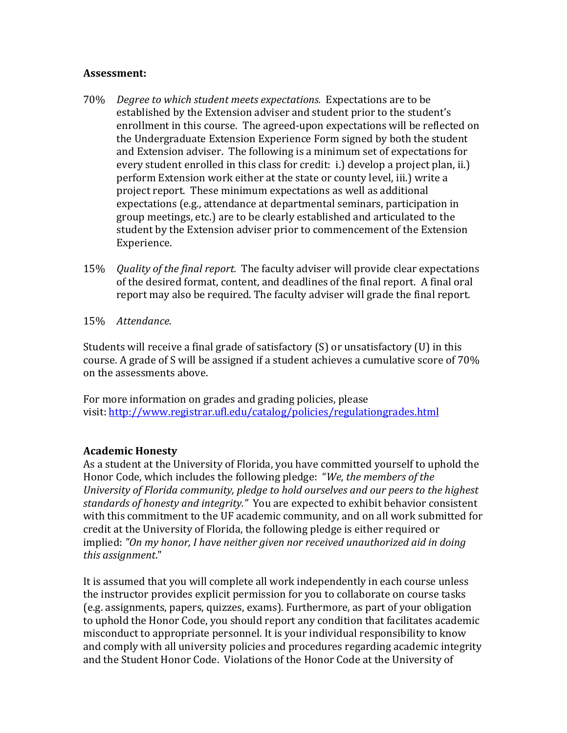## **Assessment:**

- 70% *Degree to which student meets expectations.* Expectations are to be established by the Extension adviser and student prior to the student's enrollment in this course. The agreed-upon expectations will be reflected on the Undergraduate Extension Experience Form signed by both the student and Extension adviser. The following is a minimum set of expectations for every student enrolled in this class for credit: i.) develop a project plan, ii.) perform Extension work either at the state or county level, iii.) write a project report. These minimum expectations as well as additional expectations (e.g., attendance at departmental seminars, participation in group meetings, etc.) are to be clearly established and articulated to the student by the Extension adviser prior to commencement of the Extension Experience.
- 15% *Quality of the final report.* The faculty adviser will provide clear expectations of the desired format, content, and deadlines of the final report. A final oral report may also be required. The faculty adviser will grade the final report.
- 15% *Attendance.*

Students will receive a final grade of satisfactory (S) or unsatisfactory (U) in this course. A grade of S will be assigned if a student achieves a cumulative score of 70% on the assessments above.

For more information on grades and grading policies, please visit[: http://www.registrar.ufl.edu/catalog/policies/regulationgrades.html](http://www.registrar.ufl.edu/catalog/policies/regulationgrades.html)

## **Academic Honesty**

As a student at the University of Florida, you have committed yourself to uphold the Honor Code, which includes the following pledge: "*We, the members of the University of Florida community, pledge to hold ourselves and our peers to the highest standards of honesty and integrity."* You are expected to exhibit behavior consistent with this commitment to the UF academic community, and on all work submitted for credit at the University of Florida, the following pledge is either required or implied: *"On my honor, I have neither given nor received unauthorized aid in doing this assignment*."

It is assumed that you will complete all work independently in each course unless the instructor provides explicit permission for you to collaborate on course tasks (e.g. assignments, papers, quizzes, exams). Furthermore, as part of your obligation to uphold the Honor Code, you should report any condition that facilitates academic misconduct to appropriate personnel. It is your individual responsibility to know and comply with all university policies and procedures regarding academic integrity and the Student Honor Code. Violations of the Honor Code at the University of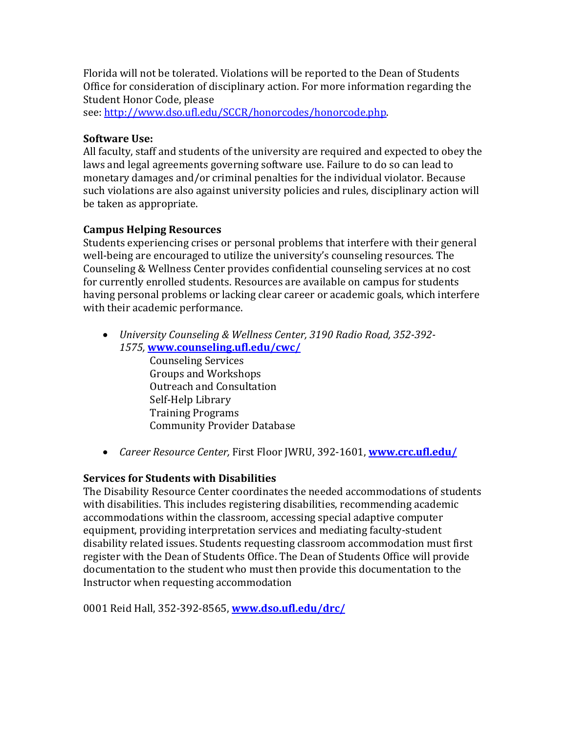Florida will not be tolerated. Violations will be reported to the Dean of Students Office for consideration of disciplinary action. For more information regarding the Student Honor Code, please

see[: http://www.dso.ufl.edu/SCCR/honorcodes/honorcode.php.](http://www.dso.ufl.edu/SCCR/honorcodes/honorcode.php)

## **Software Use:**

All faculty, staff and students of the university are required and expected to obey the laws and legal agreements governing software use. Failure to do so can lead to monetary damages and/or criminal penalties for the individual violator. Because such violations are also against university policies and rules, disciplinary action will be taken as appropriate.

# **Campus Helping Resources**

Students experiencing crises or personal problems that interfere with their general well-being are encouraged to utilize the university's counseling resources. The Counseling & Wellness Center provides confidential counseling services at no cost for currently enrolled students. Resources are available on campus for students having personal problems or lacking clear career or academic goals, which interfere with their academic performance.

• *University Counseling & Wellness Center, 3190 Radio Road, 352-392- 1575,* **[www.counseling.ufl.edu/cwc/](http://www.counseling.ufl.edu/cwc/)**

Counseling Services Groups and Workshops Outreach and Consultation Self-Help Library Training Programs Community Provider Database

• *Career Resource Center,* First Floor JWRU, 392-1601, **[www.crc.ufl.edu/](http://www.crc.ufl.edu/)**

# **Services for Students with Disabilities**

The Disability Resource Center coordinates the needed accommodations of students with disabilities. This includes registering disabilities, recommending academic accommodations within the classroom, accessing special adaptive computer equipment, providing interpretation services and mediating faculty-student disability related issues. Students requesting classroom accommodation must first register with the Dean of Students Office. The Dean of Students Office will provide documentation to the student who must then provide this documentation to the Instructor when requesting accommodation

0001 Reid Hall, 352-392-8565, **[www.dso.ufl.edu/drc/](http://www.dso.ufl.edu/drc/)**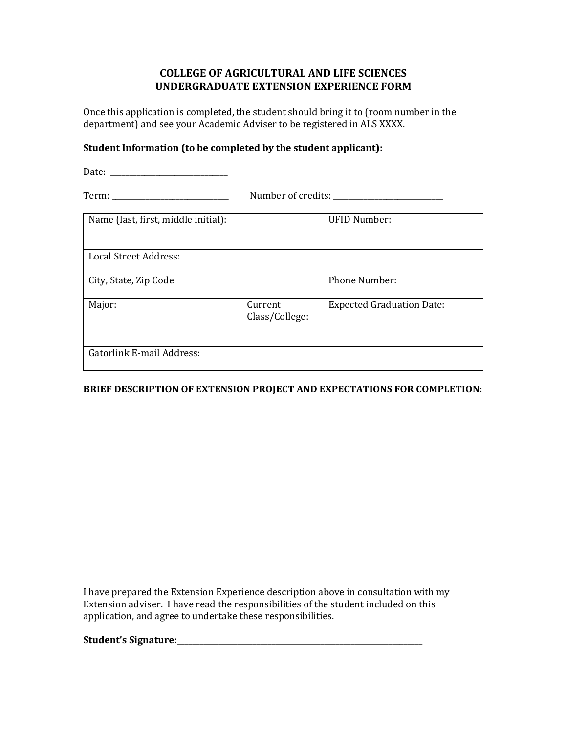## **COLLEGE OF AGRICULTURAL AND LIFE SCIENCES UNDERGRADUATE EXTENSION EXPERIENCE FORM**

Once this application is completed, the student should bring it to (room number in the department) and see your Academic Adviser to be registered in ALS XXXX.

### **Student Information (to be completed by the student applicant):**

Date: \_\_\_\_\_\_\_\_\_\_\_\_\_\_\_\_\_\_\_\_\_\_\_\_\_\_\_\_\_\_\_ Term: \_\_\_\_\_\_\_\_\_\_\_\_\_\_\_\_\_\_\_\_\_\_\_\_\_\_\_\_\_\_\_ Number of credits: \_\_\_\_\_\_\_\_\_\_\_\_\_\_\_\_\_\_\_\_\_\_\_\_\_\_\_\_\_ Name (last, first, middle initial): UFID Number:

| Name (last, m st, midule mitial). |                           | UITD NUMBEL.                     |
|-----------------------------------|---------------------------|----------------------------------|
| <b>Local Street Address:</b>      |                           |                                  |
| City, State, Zip Code             |                           | <b>Phone Number:</b>             |
| Major:                            | Current<br>Class/College: | <b>Expected Graduation Date:</b> |
| <b>Gatorlink E-mail Address:</b>  |                           |                                  |

### **BRIEF DESCRIPTION OF EXTENSION PROJECT AND EXPECTATIONS FOR COMPLETION:**

I have prepared the Extension Experience description above in consultation with my Extension adviser. I have read the responsibilities of the student included on this application, and agree to undertake these responsibilities.

**Student's Signature:\_\_\_\_\_\_\_\_\_\_\_\_\_\_\_\_\_\_\_\_\_\_\_\_\_\_\_\_\_\_\_\_\_\_\_\_\_\_\_\_\_\_\_\_\_\_\_\_\_\_\_\_\_\_\_\_\_\_\_\_\_\_\_\_\_**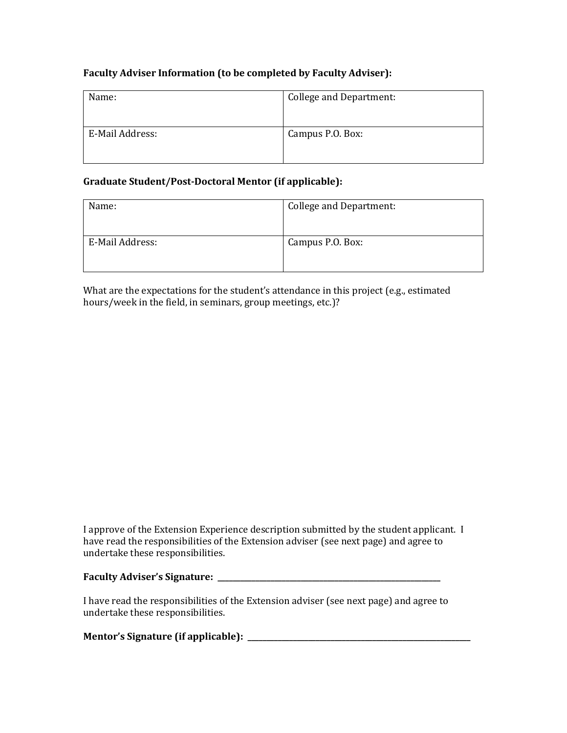### **Faculty Adviser Information (to be completed by Faculty Adviser):**

| Name:           | <b>College and Department:</b> |
|-----------------|--------------------------------|
| E-Mail Address: | Campus P.O. Box:               |

### **Graduate Student/Post-Doctoral Mentor (if applicable):**

| Name:           | College and Department: |
|-----------------|-------------------------|
| E-Mail Address: | Campus P.O. Box:        |

What are the expectations for the student's attendance in this project (e.g., estimated hours/week in the field, in seminars, group meetings, etc.)?

I approve of the Extension Experience description submitted by the student applicant. I have read the responsibilities of the Extension adviser (see next page) and agree to undertake these responsibilities.

#### **Faculty Adviser's Signature: \_\_\_\_\_\_\_\_\_\_\_\_\_\_\_\_\_\_\_\_\_\_\_\_\_\_\_\_\_\_\_\_\_\_\_\_\_\_\_\_\_\_\_\_\_\_\_\_\_\_\_\_\_\_\_\_\_\_\_**

I have read the responsibilities of the Extension adviser (see next page) and agree to undertake these responsibilities.

| Mentor's Signature (if applicable): |  |
|-------------------------------------|--|
|                                     |  |